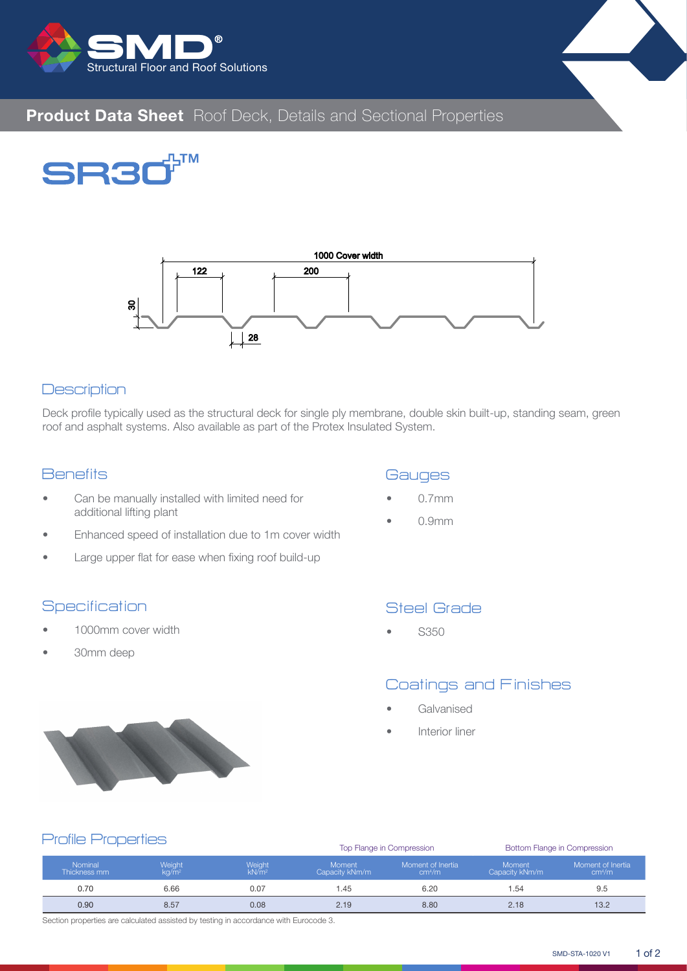







## **Description**

Deck profile typically used as the structural deck for single ply membrane, double skin built-up, standing seam, green roof and asphalt systems. Also available as part of the Protex Insulated System.

## **Benefits**

- Can be manually installed with limited need for additional lifting plant
- Enhanced speed of installation due to 1m cover width
- Large upper flat for ease when fixing roof build-up

## **Specification**

- 1000mm cover width
- 30mm deep

## **Gauges**

- 0.7mm
- 0.9mm

# Steel Grade

• S350

## Coatings and Finishes

- **Galvanised**
- Interior liner



#### Top Flange in Compression Bottom Flange in Compression Nominal Thickness mm Weight kg/m<sup>2</sup> Weight kN/m<sup>2</sup> Moment Capacity kNm/m Moment of Inertia cm<sup>4</sup> /m Moment Capacity kNm/m Moment of Inertia cm<sup>4</sup> /m 0.70 6.66 6.07 0.07 1.45 6.20 1.54 9.5 0.90 8.57 0.08 2.19 8.80 2.18 13.2 Profile Properties

Section properties are calculated assisted by testing in accordance with Eurocode 3.